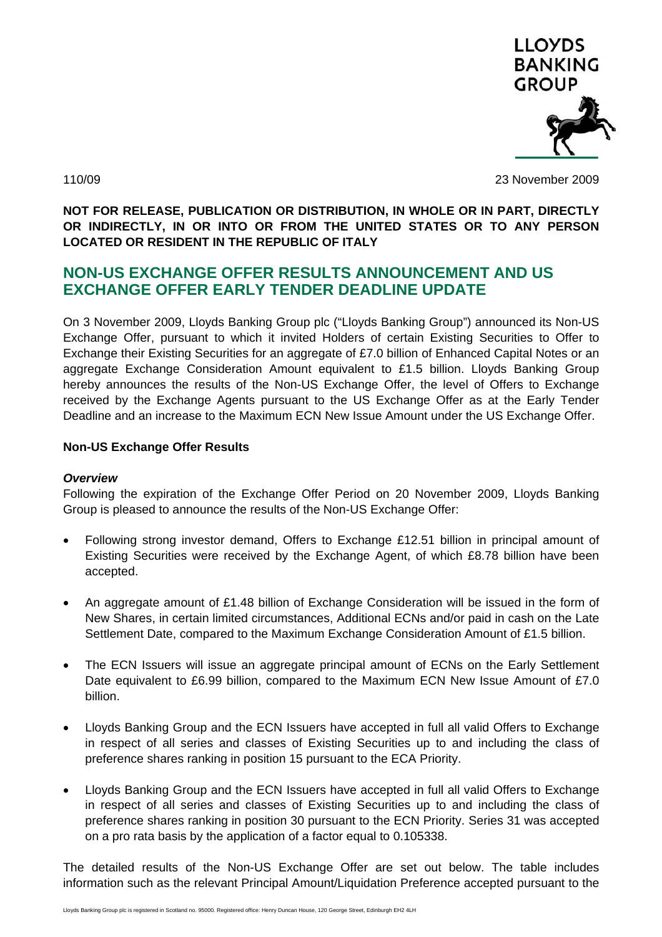

110/09 23 November 2009

**NOT FOR RELEASE, PUBLICATION OR DISTRIBUTION, IN WHOLE OR IN PART, DIRECTLY OR INDIRECTLY, IN OR INTO OR FROM THE UNITED STATES OR TO ANY PERSON LOCATED OR RESIDENT IN THE REPUBLIC OF ITALY** 

# **NON-US EXCHANGE OFFER RESULTS ANNOUNCEMENT AND US EXCHANGE OFFER EARLY TENDER DEADLINE UPDATE**

On 3 November 2009, Lloyds Banking Group plc ("Lloyds Banking Group") announced its Non-US Exchange Offer, pursuant to which it invited Holders of certain Existing Securities to Offer to Exchange their Existing Securities for an aggregate of £7.0 billion of Enhanced Capital Notes or an aggregate Exchange Consideration Amount equivalent to £1.5 billion. Lloyds Banking Group hereby announces the results of the Non-US Exchange Offer, the level of Offers to Exchange received by the Exchange Agents pursuant to the US Exchange Offer as at the Early Tender Deadline and an increase to the Maximum ECN New Issue Amount under the US Exchange Offer.

### **Non-US Exchange Offer Results**

### *Overview*

Following the expiration of the Exchange Offer Period on 20 November 2009, Lloyds Banking Group is pleased to announce the results of the Non-US Exchange Offer:

- Following strong investor demand, Offers to Exchange £12.51 billion in principal amount of Existing Securities were received by the Exchange Agent, of which £8.78 billion have been accepted.
- An aggregate amount of £1.48 billion of Exchange Consideration will be issued in the form of New Shares, in certain limited circumstances, Additional ECNs and/or paid in cash on the Late Settlement Date, compared to the Maximum Exchange Consideration Amount of £1.5 billion.
- The ECN Issuers will issue an aggregate principal amount of ECNs on the Early Settlement Date equivalent to £6.99 billion, compared to the Maximum ECN New Issue Amount of £7.0 billion.
- Lloyds Banking Group and the ECN Issuers have accepted in full all valid Offers to Exchange in respect of all series and classes of Existing Securities up to and including the class of preference shares ranking in position 15 pursuant to the ECA Priority.
- Lloyds Banking Group and the ECN Issuers have accepted in full all valid Offers to Exchange in respect of all series and classes of Existing Securities up to and including the class of preference shares ranking in position 30 pursuant to the ECN Priority. Series 31 was accepted on a pro rata basis by the application of a factor equal to 0.105338.

The detailed results of the Non-US Exchange Offer are set out below. The table includes information such as the relevant Principal Amount/Liquidation Preference accepted pursuant to the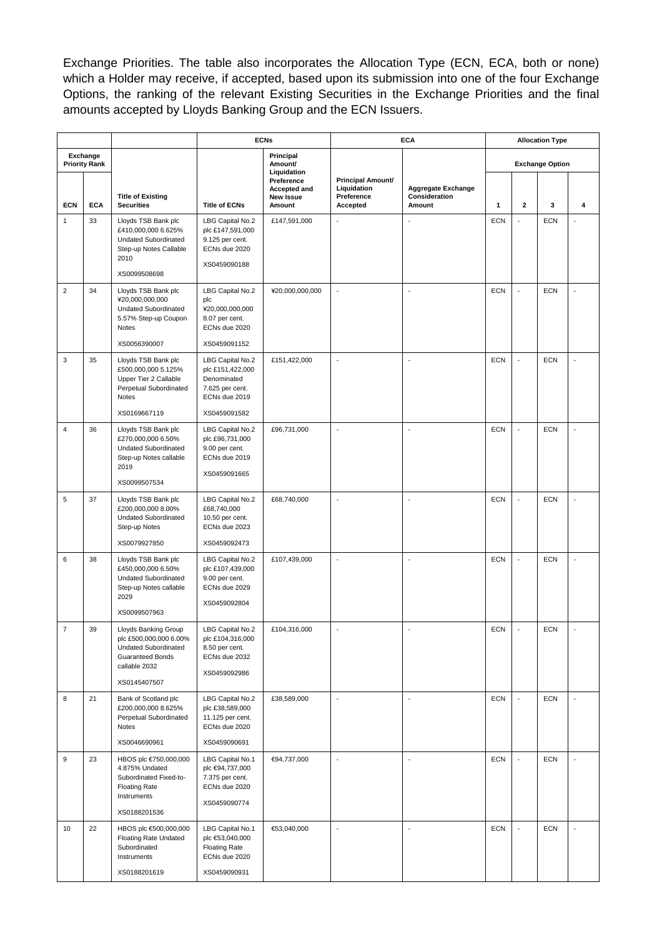Exchange Priorities. The table also incorporates the Allocation Type (ECN, ECA, both or none) which a Holder may receive, if accepted, based upon its submission into one of the four Exchange Options, the ranking of the relevant Existing Securities in the Exchange Priorities and the final amounts accepted by Lloyds Banking Group and the ECN Issuers.

|                            |                                  | <b>ECNs</b>                                                                                                                               |                                                                                         | <b>ECA</b>                                     |                                                                   | <b>Allocation Type</b>                        |                            |                         |                        |                          |
|----------------------------|----------------------------------|-------------------------------------------------------------------------------------------------------------------------------------------|-----------------------------------------------------------------------------------------|------------------------------------------------|-------------------------------------------------------------------|-----------------------------------------------|----------------------------|-------------------------|------------------------|--------------------------|
|                            | Exchange<br><b>Priority Rank</b> |                                                                                                                                           |                                                                                         | Principal<br>Amount/<br>Liquidation            |                                                                   |                                               |                            |                         | <b>Exchange Option</b> |                          |
|                            | <b>ECA</b>                       | <b>Title of Existing</b><br><b>Securities</b>                                                                                             | <b>Title of ECNs</b>                                                                    | Preference<br>Accepted and<br><b>New Issue</b> | <b>Principal Amount/</b><br>Liquidation<br>Preference<br>Accepted | Aggregate Exchange<br>Consideration<br>Amount |                            | $\overline{\mathbf{2}}$ |                        |                          |
| <b>ECN</b><br>$\mathbf{1}$ | 33                               | Lloyds TSB Bank plc<br>£410,000,000 6.625%                                                                                                | LBG Capital No.2<br>plc £147,591,000                                                    | Amount<br>£147,591,000                         |                                                                   |                                               | $\mathbf{1}$<br><b>ECN</b> | $\overline{a}$          | 3<br><b>ECN</b>        | 4                        |
|                            |                                  | <b>Undated Subordinated</b><br>Step-up Notes Callable<br>2010                                                                             | 9.125 per cent.<br>ECNs due 2020<br>XS0459090188                                        |                                                |                                                                   |                                               |                            |                         |                        |                          |
|                            |                                  | XS0099508698                                                                                                                              |                                                                                         |                                                |                                                                   |                                               |                            |                         |                        |                          |
| $\overline{2}$             | 34                               | Lloyds TSB Bank plc<br>¥20,000,000,000<br>Undated Subordinated<br>5.57% Step-up Coupon<br>Notes                                           | LBG Capital No.2<br>plc<br>¥20,000,000,000<br>8.07 per cent.<br>ECNs due 2020           | ¥20,000,000,000                                | $\overline{\phantom{a}}$                                          | $\overline{\phantom{a}}$                      | <b>ECN</b>                 | $\overline{a}$          | <b>ECN</b>             | $\overline{a}$           |
|                            |                                  | XS0056390007                                                                                                                              | XS0459091152                                                                            |                                                |                                                                   |                                               |                            |                         |                        |                          |
| 3                          | 35                               | Lloyds TSB Bank plc<br>£500,000,000 5.125%<br>Upper Tier 2 Callable<br>Perpetual Subordinated<br>Notes                                    | LBG Capital No.2<br>plc £151,422,000<br>Denominated<br>7.625 per cent.<br>ECNs due 2019 | £151,422,000                                   |                                                                   | $\overline{a}$                                | <b>ECN</b>                 |                         | <b>ECN</b>             |                          |
|                            |                                  | XS0169667119                                                                                                                              | XS0459091582                                                                            |                                                |                                                                   |                                               |                            |                         |                        |                          |
| $\overline{4}$             | 36                               | Lloyds TSB Bank plc<br>£270,000,000 6.50%<br><b>Undated Subordinated</b><br>Step-up Notes callable<br>2019                                | LBG Capital No.2<br>plc £96,731,000<br>9.00 per cent.<br>ECNs due 2019<br>XS0459091665  | £96,731,000                                    | ÷,                                                                | $\overline{a}$                                | <b>ECN</b>                 |                         | <b>ECN</b>             | $\overline{a}$           |
|                            |                                  | XS0099507534                                                                                                                              |                                                                                         |                                                |                                                                   |                                               |                            |                         |                        |                          |
| 5                          | 37                               | Lloyds TSB Bank plc<br>£200,000,000 8.00%<br><b>Undated Subordinated</b><br>Step-up Notes                                                 | LBG Capital No.2<br>£68,740,000<br>10.50 per cent.<br>ECNs due 2023                     | £68,740,000                                    |                                                                   |                                               | <b>ECN</b>                 |                         | <b>ECN</b>             |                          |
|                            |                                  | XS0079927850                                                                                                                              | XS0459092473                                                                            |                                                |                                                                   |                                               |                            |                         |                        |                          |
| 6                          | 38                               | Lloyds TSB Bank plc<br>£450,000,000 6.50%<br><b>Undated Subordinated</b><br>Step-up Notes callable<br>2029<br>XS0099507963                | LBG Capital No.2<br>plc £107,439,000<br>9.00 per cent.<br>ECNs due 2029<br>XS0459092804 | £107,439,000                                   |                                                                   | ÷,                                            | <b>ECN</b>                 | $\sim$                  | <b>ECN</b>             |                          |
| $\overline{7}$             | 39                               | <b>Lloyds Banking Group</b><br>plc £500,000,000 6.00%<br><b>Undated Subordinated</b><br>Guaranteed Bonds<br>callable 2032<br>XS0145407507 | LBG Capital No.2<br>plc £104,316,000<br>8.50 per cent.<br>ECNs due 2032<br>XS0459092986 | £104,316,000                                   | ÷,                                                                | $\overline{a}$                                | <b>ECN</b>                 | $\overline{a}$          | <b>ECN</b>             | $\overline{a}$           |
| 8                          | 21                               | Bank of Scotland plc<br>£200,000,000 8.625%<br>Perpetual Subordinated<br>Notes                                                            | LBG Capital No.2<br>plc £38,589,000<br>11.125 per cent.<br>ECNs due 2020                | £38,589,000                                    | $\overline{\phantom{a}}$                                          | $\overline{\phantom{a}}$                      | ECN                        | $\Box$                  | <b>ECN</b>             | $\overline{\phantom{a}}$ |
|                            |                                  | XS0046690961                                                                                                                              | XS0459090691                                                                            |                                                |                                                                   |                                               |                            |                         |                        |                          |
| 9                          | 23                               | HBOS plc €750,000,000<br>4.875% Undated<br>Subordinated Fixed-to-<br><b>Floating Rate</b><br>Instruments                                  | LBG Capital No.1<br>plc €94,737,000<br>7.375 per cent.<br>ECNs due 2020<br>XS0459090774 | €94,737,000                                    | ÷,                                                                | $\sim$                                        | ECN                        | $\Box$                  | <b>ECN</b>             | $\overline{\phantom{a}}$ |
| 10                         |                                  | XS0188201536                                                                                                                              |                                                                                         |                                                | ÷,                                                                | ÷,                                            | ECN                        | ÷,                      |                        | $\overline{a}$           |
|                            | 22                               | HBOS plc €500,000,000<br><b>Floating Rate Undated</b><br>Subordinated<br>Instruments                                                      | LBG Capital No.1<br>plc €53,040,000<br><b>Floating Rate</b><br>ECNs due 2020            | €53,040,000                                    |                                                                   |                                               |                            |                         | <b>ECN</b>             |                          |
|                            |                                  | XS0188201619                                                                                                                              | XS0459090931                                                                            |                                                |                                                                   |                                               |                            |                         |                        |                          |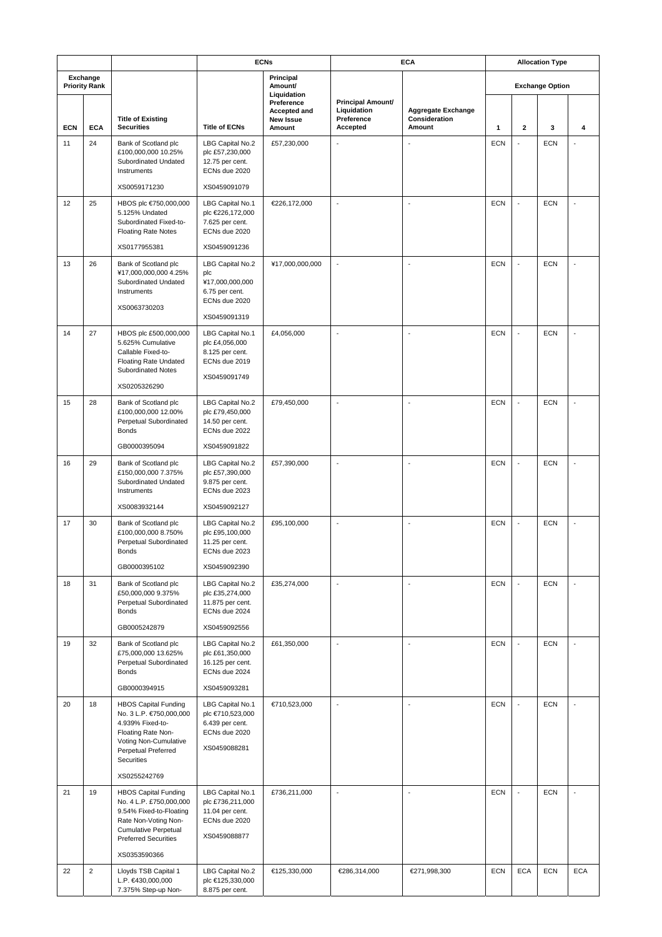|                                  |            |                                                                                                                                                                                         |                                                                                               | <b>ECNs</b>                                       | <b>ECA</b>                                                 |                                                      | <b>Allocation Type</b> |                          |                        |                          |
|----------------------------------|------------|-----------------------------------------------------------------------------------------------------------------------------------------------------------------------------------------|-----------------------------------------------------------------------------------------------|---------------------------------------------------|------------------------------------------------------------|------------------------------------------------------|------------------------|--------------------------|------------------------|--------------------------|
| Exchange<br><b>Priority Rank</b> |            |                                                                                                                                                                                         |                                                                                               | Principal<br>Amount/<br>Liquidation               |                                                            |                                                      |                        |                          | <b>Exchange Option</b> |                          |
| <b>ECN</b>                       | <b>ECA</b> | <b>Title of Existing</b><br><b>Securities</b>                                                                                                                                           | <b>Title of ECNs</b>                                                                          | Preference<br>Accepted and<br>New Issue<br>Amount | Principal Amount/<br>Liquidation<br>Preference<br>Accepted | <b>Aggregate Exchange</b><br>Consideration<br>Amount | 1                      | $\mathbf 2$              | 3                      | 4                        |
| 11                               | 24         | Bank of Scotland plc<br>£100,000,000 10.25%<br>Subordinated Undated<br>Instruments                                                                                                      | LBG Capital No.2<br>plc £57,230,000<br>12.75 per cent.<br>ECNs due 2020                       | £57,230,000                                       | ÷,                                                         | L.                                                   | <b>ECN</b>             | $\overline{\phantom{a}}$ | <b>ECN</b>             | $\overline{a}$           |
|                                  |            | XS0059171230                                                                                                                                                                            | XS0459091079                                                                                  |                                                   |                                                            |                                                      |                        |                          |                        |                          |
| 12                               | 25         | HBOS plc €750,000,000<br>5.125% Undated<br>Subordinated Fixed-to-<br><b>Floating Rate Notes</b>                                                                                         | LBG Capital No.1<br>plc €226,172,000<br>7.625 per cent.<br>ECNs due 2020                      | €226,172,000                                      | ÷,                                                         | ÷,                                                   | <b>ECN</b>             | $\overline{a}$           | <b>ECN</b>             | $\overline{a}$           |
|                                  |            | XS0177955381                                                                                                                                                                            | XS0459091236                                                                                  |                                                   |                                                            |                                                      |                        |                          |                        |                          |
| 13                               | 26         | Bank of Scotland plc<br>¥17,000,000,000 4.25%<br>Subordinated Undated<br>Instruments<br>XS0063730203                                                                                    | LBG Capital No.2<br>plc<br>¥17,000,000,000<br>6.75 per cent.<br>ECNs due 2020<br>XS0459091319 | ¥17,000,000,000                                   | $\overline{\phantom{a}}$                                   | ÷,                                                   | <b>ECN</b>             | $\overline{a}$           | <b>ECN</b>             | $\overline{a}$           |
| 14                               | 27         | HBOS plc £500,000,000<br>5.625% Cumulative<br>Callable Fixed-to-<br><b>Floating Rate Undated</b><br><b>Subordinated Notes</b><br>XS0205326290                                           | LBG Capital No.1<br>plc £4,056,000<br>8.125 per cent.<br>ECNs due 2019<br>XS0459091749        | £4,056,000                                        | ÷,                                                         | $\overline{a}$                                       | <b>ECN</b>             | $\overline{a}$           | <b>ECN</b>             | $\overline{a}$           |
| 15                               | 28         | Bank of Scotland plc<br>£100,000,000 12.00%<br>Perpetual Subordinated<br><b>Bonds</b><br>GB0000395094                                                                                   | LBG Capital No.2<br>plc £79,450,000<br>14.50 per cent.<br>ECNs due 2022<br>XS0459091822       | £79,450,000                                       | $\overline{\phantom{a}}$                                   | ÷,                                                   | <b>ECN</b>             | L,                       | <b>ECN</b>             |                          |
| 16                               | 29         |                                                                                                                                                                                         |                                                                                               |                                                   | ÷,                                                         | ÷.                                                   | <b>ECN</b>             | $\overline{a}$           | <b>ECN</b>             |                          |
|                                  |            | Bank of Scotland plc<br>£150,000,000 7.375%<br>Subordinated Undated<br>Instruments                                                                                                      | LBG Capital No.2<br>plc £57,390,000<br>9.875 per cent.<br>ECNs due 2023                       | £57,390,000                                       |                                                            |                                                      |                        |                          |                        |                          |
|                                  |            | XS0083932144                                                                                                                                                                            | XS0459092127                                                                                  |                                                   |                                                            |                                                      |                        |                          |                        |                          |
| 17                               | 30         | Bank of Scotland plc<br>£100,000,000 8.750%<br>Perpetual Subordinated<br>Bonds                                                                                                          | LBG Capital No.2<br>plc £95,100,000<br>11.25 per cent.<br>ECNs due 2023                       | £95,100,000                                       | $\overline{\phantom{a}}$                                   | $\overline{\phantom{a}}$                             | <b>ECN</b>             | Ĭ.                       | <b>ECN</b>             | $\overline{a}$           |
|                                  |            | GB0000395102                                                                                                                                                                            | XS0459092390                                                                                  |                                                   |                                                            |                                                      |                        |                          |                        |                          |
| 18                               | 31         | Bank of Scotland plc<br>£50,000,000 9.375%<br>Perpetual Subordinated<br>Bonds<br>GB0005242879                                                                                           | LBG Capital No.2<br>plc £35,274,000<br>11.875 per cent.<br>ECNs due 2024<br>XS0459092556      | £35,274,000                                       | $\overline{\phantom{a}}$                                   | $\overline{\phantom{a}}$                             | <b>ECN</b>             | $\blacksquare$           | <b>ECN</b>             | ÷,                       |
| 19                               | 32         | Bank of Scotland plc                                                                                                                                                                    | LBG Capital No.2                                                                              | £61,350,000                                       | $\overline{\phantom{a}}$                                   | $\overline{\phantom{a}}$                             | <b>ECN</b>             | $\sim$                   | <b>ECN</b>             | $\overline{a}$           |
|                                  |            | £75,000,000 13.625%<br>Perpetual Subordinated<br><b>Bonds</b>                                                                                                                           | plc £61,350,000<br>16.125 per cent.<br>ECNs due 2024                                          |                                                   |                                                            |                                                      |                        |                          |                        |                          |
|                                  |            | GB0000394915                                                                                                                                                                            | XS0459093281                                                                                  |                                                   | ÷,                                                         |                                                      |                        | $\Box$                   |                        | $\overline{\phantom{a}}$ |
| 20                               | 18         | <b>HBOS Capital Funding</b><br>No. 3 L.P. €750,000,000<br>4.939% Fixed-to-<br>Floating Rate Non-<br>Voting Non-Cumulative<br>Perpetual Preferred<br>Securities                          | LBG Capital No.1<br>plc €710,523,000<br>6.439 per cent.<br>ECNs due 2020<br>XS0459088281      | €710,523,000                                      |                                                            | $\overline{\phantom{a}}$                             | <b>ECN</b>             |                          | <b>ECN</b>             |                          |
|                                  |            | XS0255242769                                                                                                                                                                            |                                                                                               |                                                   |                                                            |                                                      |                        |                          |                        |                          |
| 21                               | 19         | <b>HBOS Capital Funding</b><br>No. 4 L.P. £750,000,000<br>9.54% Fixed-to-Floating<br>Rate Non-Voting Non-<br><b>Cumulative Perpetual</b><br><b>Preferred Securities</b><br>XS0353590366 | LBG Capital No.1<br>plc £736,211,000<br>11.04 per cent.<br>ECNs due 2020<br>XS0459088877      | £736,211,000                                      | $\overline{\phantom{a}}$                                   | $\overline{\phantom{a}}$                             | <b>ECN</b>             | $\overline{\phantom{a}}$ | <b>ECN</b>             | $\blacksquare$           |
| 22                               | $\sqrt{2}$ | Lloyds TSB Capital 1                                                                                                                                                                    | LBG Capital No.2                                                                              | €125,330,000                                      | €286,314,000                                               | €271,998,300                                         | <b>ECN</b>             | <b>ECA</b>               | <b>ECN</b>             | <b>ECA</b>               |
|                                  |            | L.P. €430,000,000<br>7.375% Step-up Non-                                                                                                                                                | plc €125,330,000<br>8.875 per cent.                                                           |                                                   |                                                            |                                                      |                        |                          |                        |                          |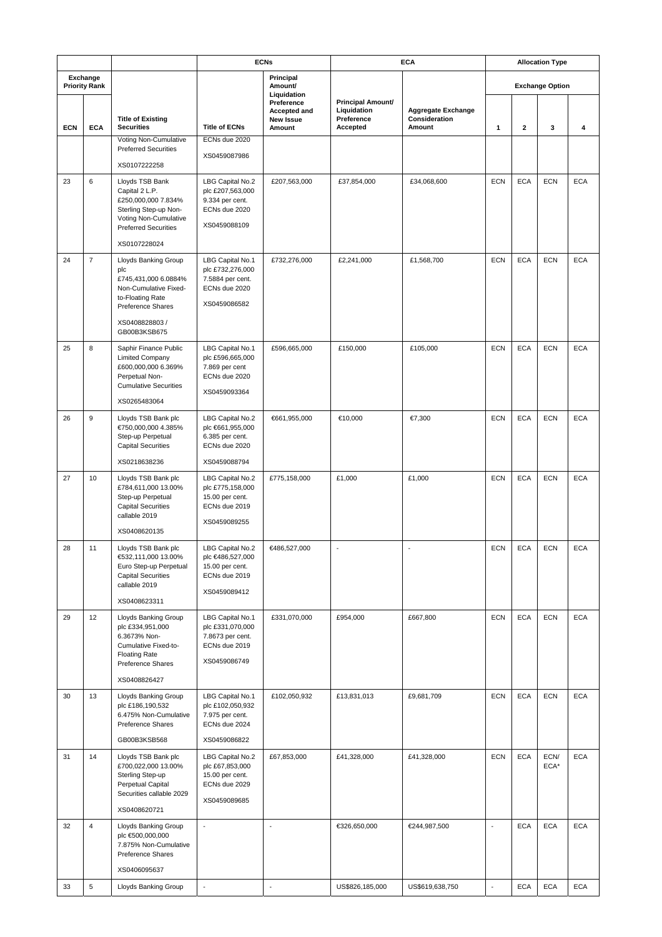|            |                                  | <b>ECNs</b>                                                                                                                               |                                                                                           | <b>ECA</b>                                        |                                                                   |                                                      | <b>Allocation Type</b>   |                        |              |            |  |  |
|------------|----------------------------------|-------------------------------------------------------------------------------------------------------------------------------------------|-------------------------------------------------------------------------------------------|---------------------------------------------------|-------------------------------------------------------------------|------------------------------------------------------|--------------------------|------------------------|--------------|------------|--|--|
|            | Exchange<br><b>Priority Rank</b> |                                                                                                                                           |                                                                                           | Principal<br>Amount/<br>Liquidation               |                                                                   |                                                      |                          | <b>Exchange Option</b> |              |            |  |  |
| <b>ECN</b> | <b>ECA</b>                       | <b>Title of Existing</b><br><b>Securities</b>                                                                                             | <b>Title of ECNs</b>                                                                      | Preference<br>Accepted and<br>New Issue<br>Amount | <b>Principal Amount/</b><br>Liquidation<br>Preference<br>Accepted | <b>Aggregate Exchange</b><br>Consideration<br>Amount | 1                        | 2                      | 3            | 4          |  |  |
|            |                                  | Voting Non-Cumulative<br><b>Preferred Securities</b>                                                                                      | ECNs due 2020                                                                             |                                                   |                                                                   |                                                      |                          |                        |              |            |  |  |
|            |                                  | XS0107222258                                                                                                                              | XS0459087986                                                                              |                                                   |                                                                   |                                                      |                          |                        |              |            |  |  |
| 23         | 6                                | Lloyds TSB Bank<br>Capital 2 L.P.<br>£250,000,000 7.834%<br>Sterling Step-up Non-<br>Voting Non-Cumulative<br><b>Preferred Securities</b> | LBG Capital No.2<br>plc £207,563,000<br>9.334 per cent.<br>ECNs due 2020<br>XS0459088109  | £207,563,000                                      | £37,854,000                                                       | £34,068,600                                          | <b>ECN</b>               | <b>ECA</b>             | <b>ECN</b>   | <b>ECA</b> |  |  |
|            |                                  | XS0107228024                                                                                                                              |                                                                                           |                                                   |                                                                   |                                                      |                          |                        |              |            |  |  |
| 24         | $\overline{7}$                   | Lloyds Banking Group<br>plc<br>£745,431,000 6.0884%<br>Non-Cumulative Fixed-<br>to-Floating Rate<br>Preference Shares<br>XS0408828803/    | LBG Capital No.1<br>plc £732,276,000<br>7.5884 per cent.<br>ECNs due 2020<br>XS0459086582 | £732,276,000                                      | £2,241,000                                                        | £1,568,700                                           | <b>ECN</b>               | <b>ECA</b>             | <b>ECN</b>   | <b>ECA</b> |  |  |
|            |                                  | GB00B3KSB675                                                                                                                              |                                                                                           |                                                   |                                                                   |                                                      |                          |                        |              |            |  |  |
| 25         | 8                                | Saphir Finance Public<br><b>Limited Company</b><br>£600,000,000 6.369%<br>Perpetual Non-<br><b>Cumulative Securities</b><br>XS0265483064  | LBG Capital No.1<br>plc £596,665,000<br>7.869 per cent<br>ECNs due 2020<br>XS0459093364   | £596,665,000                                      | £150,000                                                          | £105,000                                             | <b>ECN</b>               | <b>ECA</b>             | <b>ECN</b>   | <b>ECA</b> |  |  |
| 26         | 9                                | Lloyds TSB Bank plc                                                                                                                       | LBG Capital No.2                                                                          | €661,955,000                                      | €10,000                                                           | €7,300                                               | <b>ECN</b>               | <b>ECA</b>             | <b>ECN</b>   | <b>ECA</b> |  |  |
|            |                                  | €750,000,000 4.385%<br>Step-up Perpetual<br><b>Capital Securities</b>                                                                     | plc €661,955,000<br>6.385 per cent.<br>ECNs due 2020                                      |                                                   |                                                                   |                                                      |                          |                        |              |            |  |  |
|            |                                  | XS0218638236                                                                                                                              | XS0459088794                                                                              |                                                   |                                                                   |                                                      |                          |                        |              |            |  |  |
| 27         | 10                               | Lloyds TSB Bank plc<br>£784,611,000 13.00%<br>Step-up Perpetual<br><b>Capital Securities</b><br>callable 2019                             | LBG Capital No.2<br>plc £775,158,000<br>15.00 per cent.<br>ECNs due 2019<br>XS0459089255  | £775,158,000                                      | £1,000                                                            | £1,000                                               | <b>ECN</b>               | <b>ECA</b>             | <b>ECN</b>   | <b>ECA</b> |  |  |
|            |                                  | XS0408620135                                                                                                                              |                                                                                           |                                                   |                                                                   |                                                      |                          |                        |              |            |  |  |
| 28         | 11                               | Lloyds TSB Bank plc<br>€532,111,000 13.00%<br>Euro Step-up Perpetual<br><b>Capital Securities</b><br>callable 2019                        | LBG Capital No.2<br>plc €486,527,000<br>15.00 per cent.<br>ECNs due 2019<br>XS0459089412  | €486,527,000                                      |                                                                   |                                                      | ECN                      | <b>ECA</b>             | <b>ECN</b>   | <b>ECA</b> |  |  |
| 29         | 12                               | XS0408623311<br>Lloyds Banking Group                                                                                                      | LBG Capital No.1                                                                          | £331,070,000                                      | £954,000                                                          | £667,800                                             | <b>ECN</b>               | <b>ECA</b>             | <b>ECN</b>   | <b>ECA</b> |  |  |
|            |                                  | plc £334,951,000<br>6.3673% Non-<br>Cumulative Fixed-to-<br><b>Floating Rate</b><br>Preference Shares                                     | plc £331,070,000<br>7.8673 per cent.<br>ECNs due 2019<br>XS0459086749                     |                                                   |                                                                   |                                                      |                          |                        |              |            |  |  |
| 30         | 13                               | XS0408826427<br>Lloyds Banking Group                                                                                                      | LBG Capital No.1                                                                          | £102,050,932                                      | £13,831,013                                                       |                                                      | <b>ECN</b>               |                        |              |            |  |  |
|            |                                  | plc £186,190,532<br>6.475% Non-Cumulative<br>Preference Shares                                                                            | plc £102,050,932<br>7.975 per cent.<br>ECNs due 2024                                      |                                                   |                                                                   | £9,681,709                                           |                          | <b>ECA</b>             | <b>ECN</b>   | <b>ECA</b> |  |  |
|            |                                  | GB00B3KSB568                                                                                                                              | XS0459086822                                                                              |                                                   |                                                                   |                                                      |                          |                        |              |            |  |  |
| 31         | 14                               | Lloyds TSB Bank plc<br>£700,022,000 13.00%<br>Sterling Step-up<br>Perpetual Capital<br>Securities callable 2029<br>XS0408620721           | LBG Capital No.2<br>plc £67,853,000<br>15.00 per cent.<br>ECNs due 2029<br>XS0459089685   | £67,853,000                                       | £41,328,000                                                       | £41,328,000                                          | <b>ECN</b>               | <b>ECA</b>             | ECN/<br>ECA* | <b>ECA</b> |  |  |
| 32         | $\overline{4}$                   | Lloyds Banking Group                                                                                                                      | $\overline{\phantom{a}}$                                                                  | $\overline{\phantom{a}}$                          | €326,650,000                                                      | €244,987,500                                         | $\blacksquare$           | <b>ECA</b>             | <b>ECA</b>   | <b>ECA</b> |  |  |
|            |                                  | plc €500,000,000<br>7.875% Non-Cumulative<br>Preference Shares<br>XS0406095637                                                            |                                                                                           |                                                   |                                                                   |                                                      |                          |                        |              |            |  |  |
| 33         | $\,$ 5 $\,$                      | Lloyds Banking Group                                                                                                                      | $\overline{\phantom{a}}$                                                                  | $\blacksquare$                                    | US\$826,185,000                                                   | US\$619,638,750                                      | $\overline{\phantom{a}}$ | <b>ECA</b>             | <b>ECA</b>   | <b>ECA</b> |  |  |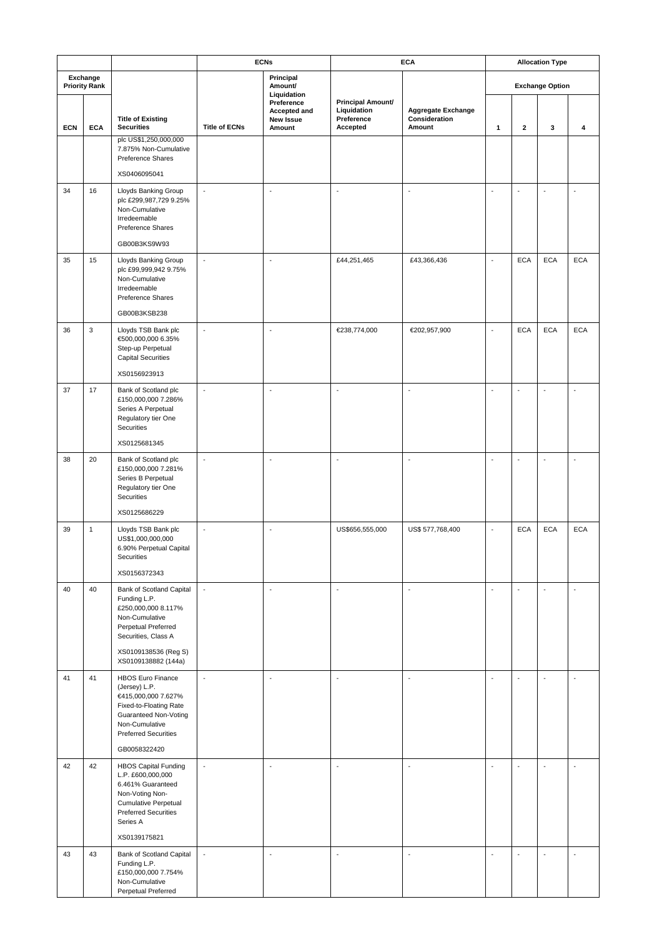|                                  |              |                                                                                                                                                                                      | <b>ECNs</b>              |                                                   | <b>ECA</b>                                                        |                                                      |                          | <b>Allocation Type</b>   |                          |                          |  |
|----------------------------------|--------------|--------------------------------------------------------------------------------------------------------------------------------------------------------------------------------------|--------------------------|---------------------------------------------------|-------------------------------------------------------------------|------------------------------------------------------|--------------------------|--------------------------|--------------------------|--------------------------|--|
| Exchange<br><b>Priority Rank</b> |              |                                                                                                                                                                                      |                          | Principal<br>Amount/<br>Liquidation               |                                                                   |                                                      | <b>Exchange Option</b>   |                          |                          |                          |  |
| <b>ECN</b>                       | <b>ECA</b>   | <b>Title of Existing</b><br><b>Securities</b>                                                                                                                                        | <b>Title of ECNs</b>     | Preference<br>Accepted and<br>New Issue<br>Amount | <b>Principal Amount/</b><br>Liquidation<br>Preference<br>Accepted | <b>Aggregate Exchange</b><br>Consideration<br>Amount | 1                        | $\mathbf{2}$             | 3                        | 4                        |  |
|                                  |              | plc US\$1,250,000,000<br>7.875% Non-Cumulative<br>Preference Shares                                                                                                                  |                          |                                                   |                                                                   |                                                      |                          |                          |                          |                          |  |
|                                  |              | XS0406095041                                                                                                                                                                         |                          |                                                   |                                                                   |                                                      |                          |                          |                          |                          |  |
| 34                               | 16           | Lloyds Banking Group<br>plc £299,987,729 9.25%<br>Non-Cumulative<br>Irredeemable<br>Preference Shares                                                                                | $\blacksquare$           | $\overline{a}$                                    | ÷,                                                                | Ĭ.                                                   | $\overline{\phantom{a}}$ | ÷,                       | ÷,                       | ÷,                       |  |
|                                  |              | GB00B3KS9W93                                                                                                                                                                         |                          |                                                   |                                                                   |                                                      |                          |                          |                          |                          |  |
| 35                               | 15           | Lloyds Banking Group<br>plc £99,999,942 9.75%<br>Non-Cumulative<br>Irredeemable<br>Preference Shares<br>GB00B3KSB238                                                                 | $\overline{\phantom{a}}$ | $\bar{\phantom{a}}$                               | £44,251,465                                                       | £43,366,436                                          | $\blacksquare$           | <b>ECA</b>               | <b>ECA</b>               | <b>ECA</b>               |  |
| 36                               | 3            | Lloyds TSB Bank plc                                                                                                                                                                  | $\blacksquare$           | $\overline{\phantom{a}}$                          | €238,774,000                                                      | €202,957,900                                         | $\overline{\phantom{a}}$ | <b>ECA</b>               | <b>ECA</b>               | <b>ECA</b>               |  |
|                                  |              | €500,000,000 6.35%<br>Step-up Perpetual<br><b>Capital Securities</b><br>XS0156923913                                                                                                 |                          |                                                   |                                                                   |                                                      |                          |                          |                          |                          |  |
| 37                               | 17           | Bank of Scotland plc<br>£150,000,000 7.286%<br>Series A Perpetual<br>Regulatory tier One<br>Securities                                                                               | $\overline{\phantom{a}}$ | $\overline{\phantom{a}}$                          | ÷,                                                                | $\overline{\phantom{a}}$                             | $\overline{\phantom{a}}$ | $\overline{\phantom{a}}$ | ÷,                       | $\overline{\phantom{a}}$ |  |
|                                  |              | XS0125681345                                                                                                                                                                         |                          |                                                   |                                                                   |                                                      |                          |                          |                          |                          |  |
| 38                               | 20           | Bank of Scotland plc<br>£150,000,000 7.281%<br>Series B Perpetual<br>Regulatory tier One<br><b>Securities</b>                                                                        | $\overline{\phantom{a}}$ | $\bar{\phantom{a}}$                               | $\overline{a}$                                                    | $\sim$                                               | $\overline{\phantom{a}}$ | $\sim$                   | $\overline{\phantom{a}}$ | $\overline{a}$           |  |
|                                  |              | XS0125686229                                                                                                                                                                         |                          |                                                   |                                                                   |                                                      |                          |                          |                          |                          |  |
| 39                               | $\mathbf{1}$ | Lloyds TSB Bank plc<br>US\$1,000,000,000<br>6.90% Perpetual Capital<br>Securities<br>XS0156372343                                                                                    | ÷,                       | $\overline{\phantom{a}}$                          | US\$656,555,000                                                   | US\$ 577,768,400                                     | $\overline{\phantom{a}}$ | <b>ECA</b>               | <b>ECA</b>               | <b>ECA</b>               |  |
| 40                               | 40           | Bank of Scotland Capital                                                                                                                                                             | $\overline{\phantom{a}}$ | $\bar{\phantom{a}}$                               | $\sim$                                                            | $\overline{\phantom{a}}$                             | $\sim$                   | ÷,                       | ÷,                       | ÷,                       |  |
|                                  |              | Funding L.P.<br>£250,000,000 8.117%<br>Non-Cumulative<br>Perpetual Preferred<br>Securities, Class A<br>XS0109138536 (Reg S)<br>XS0109138882 (144a)                                   |                          |                                                   |                                                                   |                                                      |                          |                          |                          |                          |  |
| 41                               | 41           | <b>HBOS Euro Finance</b><br>(Jersey) L.P.<br>€415,000,000 7.627%<br>Fixed-to-Floating Rate<br>Guaranteed Non-Voting<br>Non-Cumulative<br><b>Preferred Securities</b><br>GB0058322420 | $\overline{\phantom{a}}$ | $\overline{\phantom{a}}$                          | $\overline{\phantom{a}}$                                          | $\overline{a}$                                       | $\overline{\phantom{a}}$ | ÷,                       | ÷,                       | $\blacksquare$           |  |
| 42                               | 42           |                                                                                                                                                                                      | $\overline{\phantom{a}}$ | $\overline{\phantom{a}}$                          | ÷,                                                                | $\overline{\phantom{a}}$                             | $\overline{\phantom{a}}$ | ÷,                       | ÷,                       | ÷,                       |  |
|                                  |              | <b>HBOS Capital Funding</b><br>L.P. £600,000,000<br>6.461% Guaranteed<br>Non-Voting Non-<br><b>Cumulative Perpetual</b><br><b>Preferred Securities</b><br>Series A<br>XS0139175821   |                          |                                                   |                                                                   |                                                      |                          |                          |                          |                          |  |
| 43                               | 43           | Bank of Scotland Capital                                                                                                                                                             | $\Box$                   | $\overline{\phantom{a}}$                          | $\overline{a}$                                                    | $\overline{\phantom{a}}$                             | $\overline{\phantom{a}}$ | ÷,                       | $\overline{\phantom{a}}$ | ÷,                       |  |
|                                  |              | Funding L.P.<br>£150,000,000 7.754%<br>Non-Cumulative<br>Perpetual Preferred                                                                                                         |                          |                                                   |                                                                   |                                                      |                          |                          |                          |                          |  |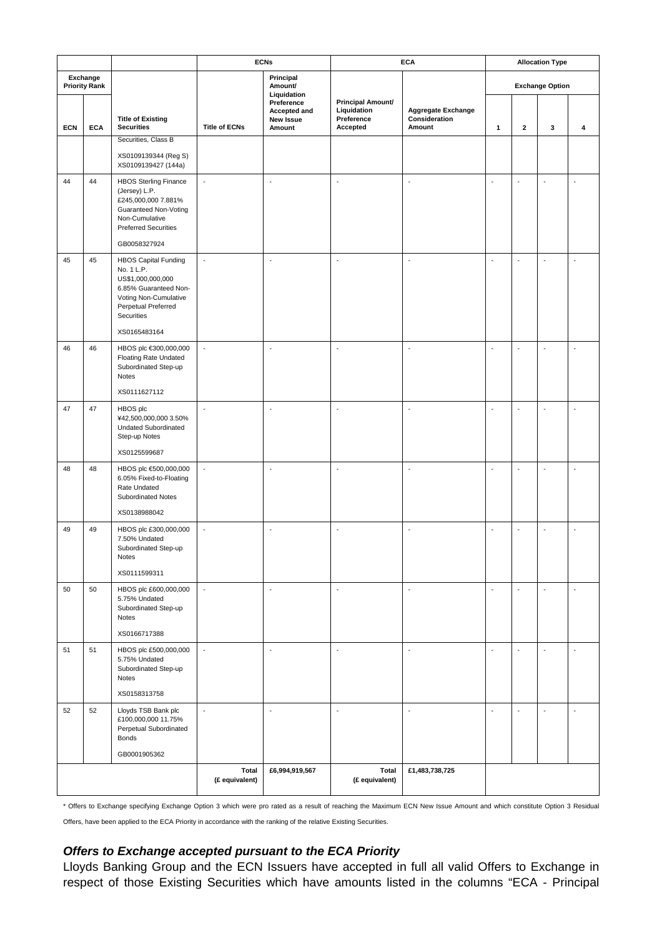|                                  | <b>ECNs</b> |                                                                                                                                                                       | <b>ECA</b>               | <b>Allocation Type</b>                            |                                                                   |                                                      |                          |                          |                          |                          |  |
|----------------------------------|-------------|-----------------------------------------------------------------------------------------------------------------------------------------------------------------------|--------------------------|---------------------------------------------------|-------------------------------------------------------------------|------------------------------------------------------|--------------------------|--------------------------|--------------------------|--------------------------|--|
| Exchange<br><b>Priority Rank</b> |             |                                                                                                                                                                       |                          | Principal<br>Amount/<br>Liquidation               |                                                                   |                                                      | <b>Exchange Option</b>   |                          |                          |                          |  |
| <b>ECN</b>                       | <b>ECA</b>  | <b>Title of Existing</b><br><b>Securities</b>                                                                                                                         | <b>Title of ECNs</b>     | Preference<br>Accepted and<br>New Issue<br>Amount | <b>Principal Amount/</b><br>Liquidation<br>Preference<br>Accepted | <b>Aggregate Exchange</b><br>Consideration<br>Amount | 1                        | 2                        | 3                        | 4                        |  |
|                                  |             | Securities, Class B                                                                                                                                                   |                          |                                                   |                                                                   |                                                      |                          |                          |                          |                          |  |
|                                  |             | XS0109139344 (Reg S)<br>XS0109139427 (144a)                                                                                                                           |                          |                                                   |                                                                   |                                                      |                          |                          |                          |                          |  |
| 44                               | 44          | <b>HBOS Sterling Finance</b><br>(Jersey) L.P.<br>£245,000,000 7.881%<br>Guaranteed Non-Voting<br>Non-Cumulative<br><b>Preferred Securities</b><br>GB0058327924        | $\blacksquare$           | $\sim$                                            | $\overline{\phantom{a}}$                                          | $\overline{\phantom{a}}$                             | $\overline{\phantom{a}}$ | ÷,                       |                          | L,                       |  |
| 45                               | 45          | <b>HBOS Capital Funding</b><br>No. 1 L.P.<br>US\$1,000,000,000<br>6.85% Guaranteed Non-<br>Voting Non-Cumulative<br>Perpetual Preferred<br>Securities<br>XS0165483164 | $\blacksquare$           | ÷,                                                | ÷,                                                                | $\overline{a}$                                       | $\overline{\phantom{a}}$ | $\overline{a}$           |                          | L.                       |  |
| 46                               | 46          | HBOS plc €300,000,000<br><b>Floating Rate Undated</b><br>Subordinated Step-up<br>Notes<br>XS0111627112                                                                | $\blacksquare$           | $\overline{\phantom{a}}$                          | $\overline{\phantom{a}}$                                          | ÷,                                                   | $\overline{\phantom{a}}$ | Ĭ.                       |                          | L,                       |  |
| 47                               | 47          | HBOS plc<br>¥42,500,000,000 3.50%<br>Undated Subordinated<br>Step-up Notes                                                                                            | $\blacksquare$           | $\overline{\phantom{a}}$                          | $\sim$                                                            | $\overline{\phantom{a}}$                             | $\sim$                   | $\overline{a}$           |                          | L.                       |  |
|                                  |             | XS0125599687                                                                                                                                                          |                          |                                                   |                                                                   |                                                      |                          |                          |                          |                          |  |
| 48                               | 48          | HBOS plc €500,000,000<br>6.05% Fixed-to-Floating<br>Rate Undated<br>Subordinated Notes                                                                                | $\overline{\phantom{a}}$ | $\overline{\phantom{a}}$                          | $\overline{\phantom{a}}$                                          | ÷,                                                   | $\overline{\phantom{a}}$ | $\overline{\phantom{a}}$ | $\overline{\phantom{a}}$ | L.                       |  |
|                                  |             | XS0138988042                                                                                                                                                          |                          |                                                   |                                                                   |                                                      |                          |                          |                          |                          |  |
| 49                               | 49          | HBOS plc £300,000,000<br>7.50% Undated<br>Subordinated Step-up<br>Notes<br>XS0111599311                                                                               | $\overline{\phantom{a}}$ | $\overline{\phantom{a}}$                          | $\overline{\phantom{a}}$                                          | $\overline{\phantom{a}}$                             | $\overline{\phantom{a}}$ | $\overline{\phantom{a}}$ | $\blacksquare$           | Ĭ.                       |  |
| 50                               | 50          | HBOS plc £600,000,000<br>5.75% Undated<br>Subordinated Step-up<br>Notes                                                                                               | $\Box$                   | $\Box$                                            | $\overline{\phantom{a}}$                                          | $\overline{\phantom{a}}$                             | $\overline{\phantom{a}}$ | $\overline{\phantom{a}}$ | $\overline{\phantom{a}}$ | $\Box$                   |  |
|                                  |             | XS0166717388                                                                                                                                                          |                          |                                                   |                                                                   |                                                      |                          |                          |                          |                          |  |
| 51                               | 51          | HBOS plc £500,000,000<br>5.75% Undated<br>Subordinated Step-up<br>Notes                                                                                               | $\overline{\phantom{a}}$ | $\overline{\phantom{a}}$                          | $\overline{\phantom{a}}$                                          | $\overline{\phantom{a}}$                             | $\overline{\phantom{a}}$ | $\overline{\phantom{a}}$ | $\overline{a}$           | $\overline{\phantom{a}}$ |  |
|                                  |             | XS0158313758                                                                                                                                                          |                          |                                                   |                                                                   |                                                      |                          |                          |                          |                          |  |
| 52                               | 52          | Lloyds TSB Bank plc<br>£100,000,000 11.75%<br>Perpetual Subordinated<br><b>Bonds</b><br>GB0001905362                                                                  | $\blacksquare$           | $\sim$                                            | $\blacksquare$                                                    | $\sim$                                               | $\blacksquare$           | $\sim$                   | $\overline{a}$           | $\Box$                   |  |
|                                  |             |                                                                                                                                                                       | Total                    | £6,994,919,567                                    | Total                                                             | £1,483,738,725                                       |                          |                          |                          |                          |  |
|                                  |             |                                                                                                                                                                       | (£ equivalent)           |                                                   | (£ equivalent)                                                    |                                                      |                          |                          |                          |                          |  |

\* Offers to Exchange specifying Exchange Option 3 which were pro rated as a result of reaching the Maximum ECN New Issue Amount and which constitute Option 3 Residual

Offers, have been applied to the ECA Priority in accordance with the ranking of the relative Existing Securities.

#### *Offers to Exchange accepted pursuant to the ECA Priority*

Lloyds Banking Group and the ECN Issuers have accepted in full all valid Offers to Exchange in respect of those Existing Securities which have amounts listed in the columns "ECA - Principal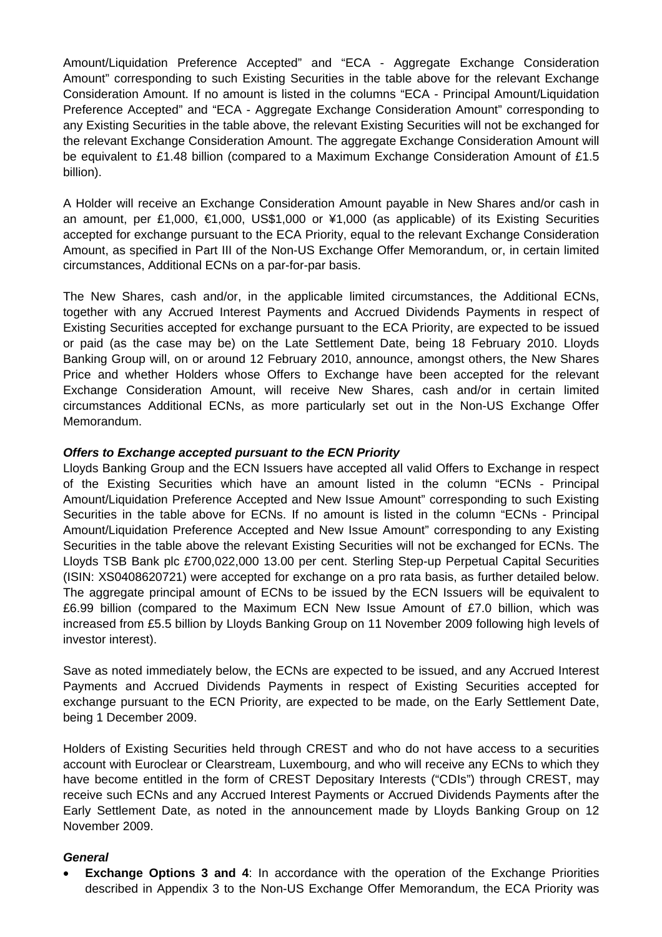Amount/Liquidation Preference Accepted" and "ECA - Aggregate Exchange Consideration Amount" corresponding to such Existing Securities in the table above for the relevant Exchange Consideration Amount. If no amount is listed in the columns "ECA - Principal Amount/Liquidation Preference Accepted" and "ECA - Aggregate Exchange Consideration Amount" corresponding to any Existing Securities in the table above, the relevant Existing Securities will not be exchanged for the relevant Exchange Consideration Amount. The aggregate Exchange Consideration Amount will be equivalent to £1.48 billion (compared to a Maximum Exchange Consideration Amount of £1.5 billion).

A Holder will receive an Exchange Consideration Amount payable in New Shares and/or cash in an amount, per £1,000, €1,000, US\$1,000 or ¥1,000 (as applicable) of its Existing Securities accepted for exchange pursuant to the ECA Priority, equal to the relevant Exchange Consideration Amount, as specified in Part III of the Non-US Exchange Offer Memorandum, or, in certain limited circumstances, Additional ECNs on a par-for-par basis.

The New Shares, cash and/or, in the applicable limited circumstances, the Additional ECNs, together with any Accrued Interest Payments and Accrued Dividends Payments in respect of Existing Securities accepted for exchange pursuant to the ECA Priority, are expected to be issued or paid (as the case may be) on the Late Settlement Date, being 18 February 2010. Lloyds Banking Group will, on or around 12 February 2010, announce, amongst others, the New Shares Price and whether Holders whose Offers to Exchange have been accepted for the relevant Exchange Consideration Amount, will receive New Shares, cash and/or in certain limited circumstances Additional ECNs, as more particularly set out in the Non-US Exchange Offer Memorandum.

### *Offers to Exchange accepted pursuant to the ECN Priority*

Lloyds Banking Group and the ECN Issuers have accepted all valid Offers to Exchange in respect of the Existing Securities which have an amount listed in the column "ECNs - Principal Amount/Liquidation Preference Accepted and New Issue Amount" corresponding to such Existing Securities in the table above for ECNs. If no amount is listed in the column "ECNs - Principal Amount/Liquidation Preference Accepted and New Issue Amount" corresponding to any Existing Securities in the table above the relevant Existing Securities will not be exchanged for ECNs. The Lloyds TSB Bank plc £700,022,000 13.00 per cent. Sterling Step-up Perpetual Capital Securities (ISIN: XS0408620721) were accepted for exchange on a pro rata basis, as further detailed below. The aggregate principal amount of ECNs to be issued by the ECN Issuers will be equivalent to £6.99 billion (compared to the Maximum ECN New Issue Amount of £7.0 billion, which was increased from £5.5 billion by Lloyds Banking Group on 11 November 2009 following high levels of investor interest).

Save as noted immediately below, the ECNs are expected to be issued, and any Accrued Interest Payments and Accrued Dividends Payments in respect of Existing Securities accepted for exchange pursuant to the ECN Priority, are expected to be made, on the Early Settlement Date, being 1 December 2009.

Holders of Existing Securities held through CREST and who do not have access to a securities account with Euroclear or Clearstream, Luxembourg, and who will receive any ECNs to which they have become entitled in the form of CREST Depositary Interests ("CDIs") through CREST, may receive such ECNs and any Accrued Interest Payments or Accrued Dividends Payments after the Early Settlement Date, as noted in the announcement made by Lloyds Banking Group on 12 November 2009.

### *General*

**Exchange Options 3 and 4:** In accordance with the operation of the Exchange Priorities described in Appendix 3 to the Non-US Exchange Offer Memorandum, the ECA Priority was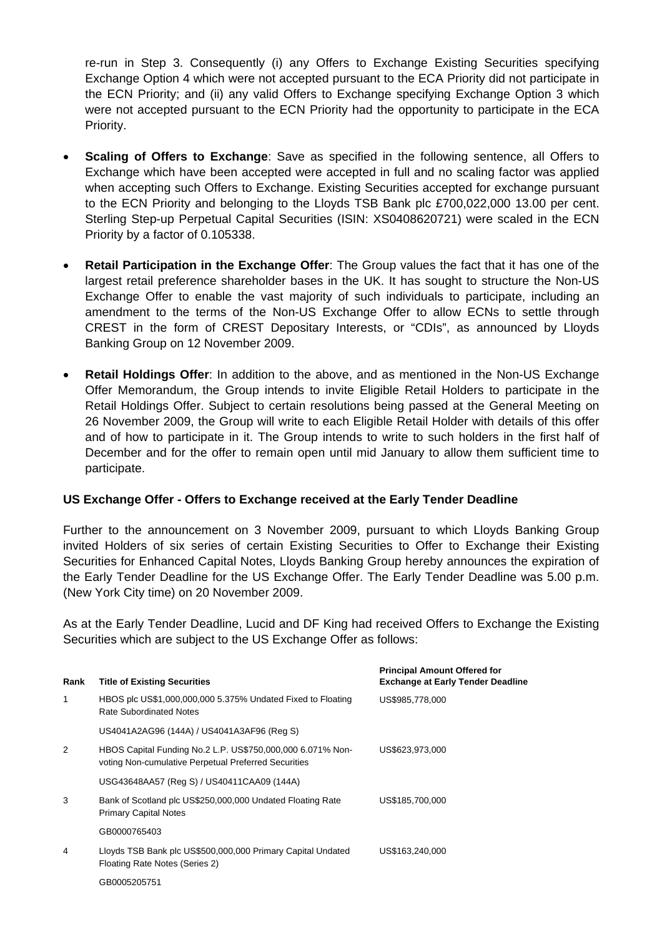re-run in Step 3. Consequently (i) any Offers to Exchange Existing Securities specifying Exchange Option 4 which were not accepted pursuant to the ECA Priority did not participate in the ECN Priority; and (ii) any valid Offers to Exchange specifying Exchange Option 3 which were not accepted pursuant to the ECN Priority had the opportunity to participate in the ECA Priority.

- **Scaling of Offers to Exchange**: Save as specified in the following sentence, all Offers to Exchange which have been accepted were accepted in full and no scaling factor was applied when accepting such Offers to Exchange. Existing Securities accepted for exchange pursuant to the ECN Priority and belonging to the Lloyds TSB Bank plc £700,022,000 13.00 per cent. Sterling Step-up Perpetual Capital Securities (ISIN: XS0408620721) were scaled in the ECN Priority by a factor of 0.105338.
- **Retail Participation in the Exchange Offer**: The Group values the fact that it has one of the largest retail preference shareholder bases in the UK. It has sought to structure the Non-US Exchange Offer to enable the vast majority of such individuals to participate, including an amendment to the terms of the Non-US Exchange Offer to allow ECNs to settle through CREST in the form of CREST Depositary Interests, or "CDIs", as announced by Lloyds Banking Group on 12 November 2009.
- **Retail Holdings Offer**: In addition to the above, and as mentioned in the Non-US Exchange Offer Memorandum, the Group intends to invite Eligible Retail Holders to participate in the Retail Holdings Offer. Subject to certain resolutions being passed at the General Meeting on 26 November 2009, the Group will write to each Eligible Retail Holder with details of this offer and of how to participate in it. The Group intends to write to such holders in the first half of December and for the offer to remain open until mid January to allow them sufficient time to participate.

### **US Exchange Offer - Offers to Exchange received at the Early Tender Deadline**

Further to the announcement on 3 November 2009, pursuant to which Lloyds Banking Group invited Holders of six series of certain Existing Securities to Offer to Exchange their Existing Securities for Enhanced Capital Notes, Lloyds Banking Group hereby announces the expiration of the Early Tender Deadline for the US Exchange Offer. The Early Tender Deadline was 5.00 p.m. (New York City time) on 20 November 2009.

As at the Early Tender Deadline, Lucid and DF King had received Offers to Exchange the Existing Securities which are subject to the US Exchange Offer as follows:

| Rank | <b>Title of Existing Securities</b>                                                                                | <b>Principal Amount Offered for</b><br><b>Exchange at Early Tender Deadline</b> |  |  |  |
|------|--------------------------------------------------------------------------------------------------------------------|---------------------------------------------------------------------------------|--|--|--|
| 1    | HBOS plc US\$1,000,000,000 5.375% Undated Fixed to Floating<br>Rate Subordinated Notes                             | US\$985,778,000                                                                 |  |  |  |
|      | US4041A2AG96 (144A) / US4041A3AF96 (Reg S)                                                                         |                                                                                 |  |  |  |
| 2    | HBOS Capital Funding No.2 L.P. US\$750,000,000 6.071% Non-<br>voting Non-cumulative Perpetual Preferred Securities | US\$623,973,000                                                                 |  |  |  |
|      | USG43648AA57 (Reg S) / US40411CAA09 (144A)                                                                         |                                                                                 |  |  |  |
| 3    | Bank of Scotland plc US\$250,000,000 Undated Floating Rate<br><b>Primary Capital Notes</b>                         | US\$185,700,000                                                                 |  |  |  |
|      | GB0000765403                                                                                                       |                                                                                 |  |  |  |
| 4    | Lloyds TSB Bank plc US\$500,000,000 Primary Capital Undated<br>Floating Rate Notes (Series 2)                      | US\$163,240,000                                                                 |  |  |  |
|      | GB0005205751                                                                                                       |                                                                                 |  |  |  |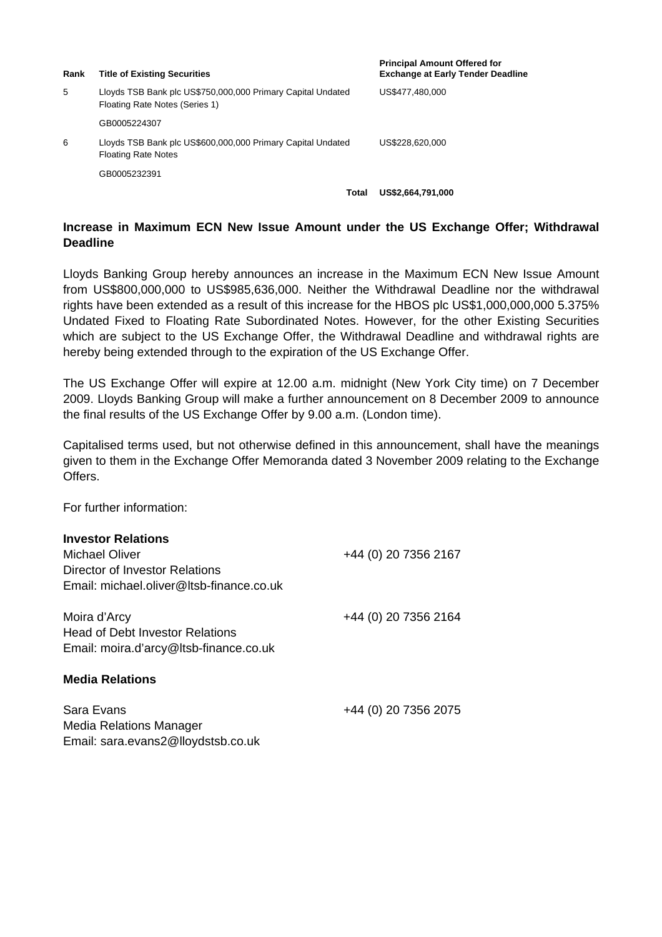| Rank | <b>Title of Existing Securities</b>                                                           |  | <b>Principal Amount Offered for</b><br><b>Exchange at Early Tender Deadline</b> |
|------|-----------------------------------------------------------------------------------------------|--|---------------------------------------------------------------------------------|
| 5    | Lloyds TSB Bank plc US\$750,000,000 Primary Capital Undated<br>Floating Rate Notes (Series 1) |  | US\$477.480,000                                                                 |
|      | GB0005224307                                                                                  |  |                                                                                 |
| 6    | Lloyds TSB Bank plc US\$600,000,000 Primary Capital Undated<br><b>Floating Rate Notes</b>     |  | US\$228.620.000                                                                 |
|      | GB0005232391                                                                                  |  |                                                                                 |
|      | Total                                                                                         |  | US\$2,664,791,000                                                               |

### **Increase in Maximum ECN New Issue Amount under the US Exchange Offer; Withdrawal Deadline**

Lloyds Banking Group hereby announces an increase in the Maximum ECN New Issue Amount from US\$800,000,000 to US\$985,636,000. Neither the Withdrawal Deadline nor the withdrawal rights have been extended as a result of this increase for the HBOS plc US\$1,000,000,000 5.375% Undated Fixed to Floating Rate Subordinated Notes. However, for the other Existing Securities which are subject to the US Exchange Offer, the Withdrawal Deadline and withdrawal rights are hereby being extended through to the expiration of the US Exchange Offer.

The US Exchange Offer will expire at 12.00 a.m. midnight (New York City time) on 7 December 2009. Lloyds Banking Group will make a further announcement on 8 December 2009 to announce the final results of the US Exchange Offer by 9.00 a.m. (London time).

Capitalised terms used, but not otherwise defined in this announcement, shall have the meanings given to them in the Exchange Offer Memoranda dated 3 November 2009 relating to the Exchange **Offers** 

For further information:

| <b>Investor Relations</b> |
|---------------------------|
|                           |

| <b>Michael Oliver</b><br>Director of Investor Relations<br>Email: michael.oliver@ltsb-finance.co.uk | +44 (0) 20 7356 2167 |
|-----------------------------------------------------------------------------------------------------|----------------------|
| Moira d'Arcy<br><b>Head of Debt Investor Relations</b><br>Email: moira.d'arcy@ltsb-finance.co.uk    | +44 (0) 20 7356 2164 |
| <b>Media Relations</b>                                                                              |                      |
| Sara Evans<br>Media Relations Manager<br>Email: sara.evans2@lloydstsb.co.uk                         | +44 (0) 20 7356 2075 |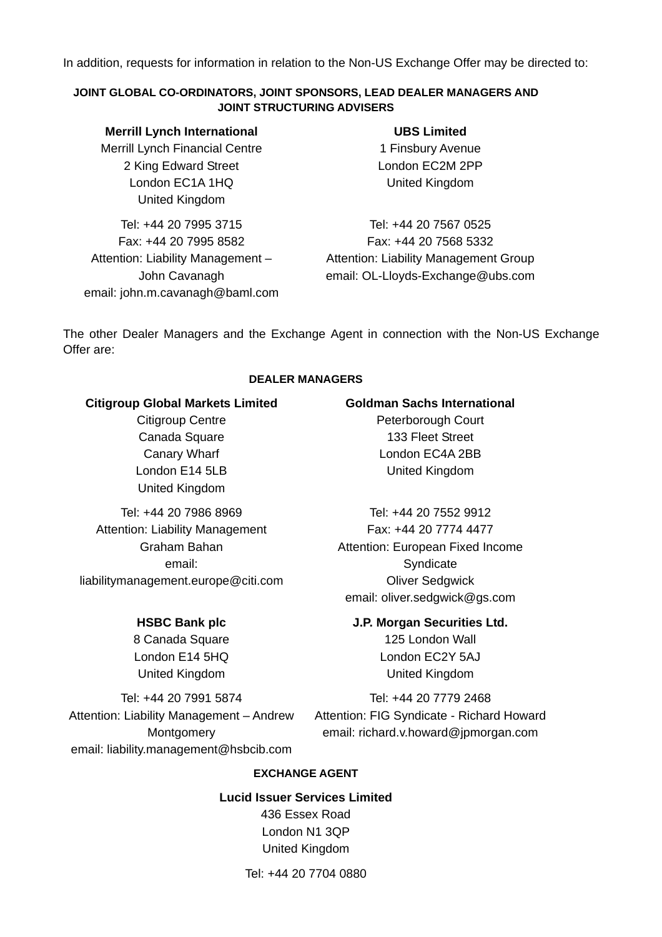In addition, requests for information in relation to the Non-US Exchange Offer may be directed to:

## **JOINT GLOBAL CO-ORDINATORS, JOINT SPONSORS, LEAD DEALER MANAGERS AND JOINT STRUCTURING ADVISERS**

**Merrill Lynch International** Merrill Lynch Financial Centre 2 King Edward Street London EC1A 1HQ United Kingdom

Tel: +44 20 7995 3715 Fax: +44 20 7995 8582 Attention: Liability Management – John Cavanagh email: john.m.cavanagh@baml.com

**UBS Limited** 1 Finsbury Avenue London EC2M 2PP United Kingdom

Tel: +44 20 7567 0525 Fax: +44 20 7568 5332 Attention: Liability Management Group email: OL-Lloyds-Exchange@ubs.com

The other Dealer Managers and the Exchange Agent in connection with the Non-US Exchange Offer are:

### **DEALER MANAGERS**

### **Citigroup Global Markets Limited**

Citigroup Centre Canada Square Canary Wharf London E14 5LB United Kingdom

Tel: +44 20 7986 8969 Attention: Liability Management Graham Bahan email: liabilitymanagement.europe@citi.com

# **HSBC Bank plc**

8 Canada Square London E14 5HQ United Kingdom

**Goldman Sachs International**

Peterborough Court 133 Fleet Street London EC4A 2BB United Kingdom

Tel: +44 20 7552 9912 Fax: +44 20 7774 4477 Attention: European Fixed Income **Syndicate** Oliver Sedgwick email: oliver.sedgwick@gs.com

**J.P. Morgan Securities Ltd.**

125 London Wall London EC2Y 5AJ United Kingdom

Tel: +44 20 7991 5874 Attention: Liability Management – Andrew **Montgomery** email: liability.management@hsbcib.com

Tel: +44 20 7779 2468 Attention: FIG Syndicate - Richard Howard email: richard.v.howard@jpmorgan.com

### **EXCHANGE AGENT**

**Lucid Issuer Services Limited** 436 Essex Road London N1 3QP United Kingdom

Tel: +44 20 7704 0880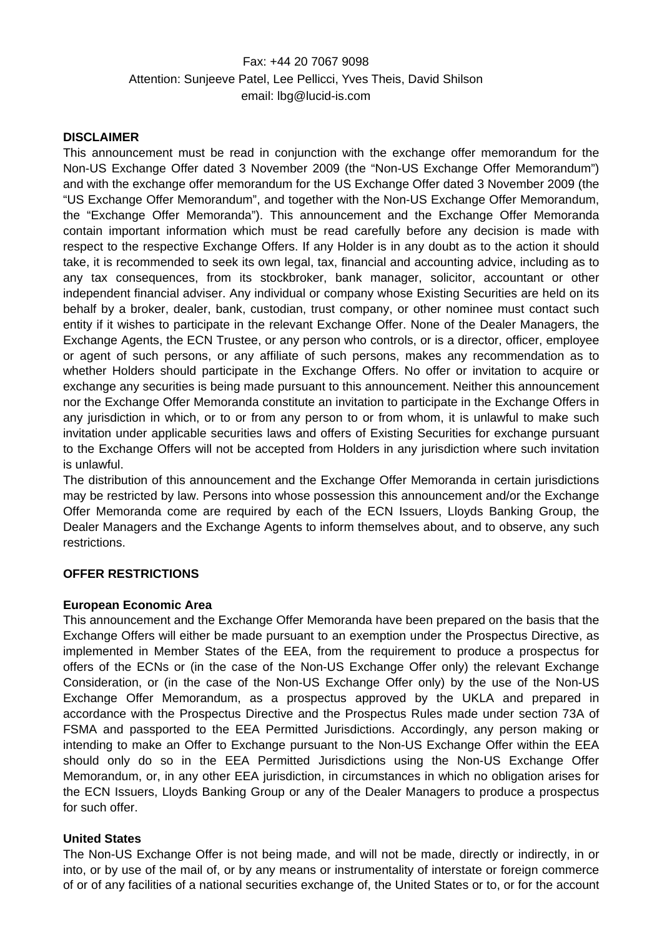Fax: +44 20 7067 9098 Attention: Sunjeeve Patel, Lee Pellicci, Yves Theis, David Shilson email: lbg@lucid-is.com

### **DISCLAIMER**

This announcement must be read in conjunction with the exchange offer memorandum for the Non-US Exchange Offer dated 3 November 2009 (the "Non-US Exchange Offer Memorandum") and with the exchange offer memorandum for the US Exchange Offer dated 3 November 2009 (the "US Exchange Offer Memorandum", and together with the Non-US Exchange Offer Memorandum, the "Exchange Offer Memoranda"). This announcement and the Exchange Offer Memoranda contain important information which must be read carefully before any decision is made with respect to the respective Exchange Offers. If any Holder is in any doubt as to the action it should take, it is recommended to seek its own legal, tax, financial and accounting advice, including as to any tax consequences, from its stockbroker, bank manager, solicitor, accountant or other independent financial adviser. Any individual or company whose Existing Securities are held on its behalf by a broker, dealer, bank, custodian, trust company, or other nominee must contact such entity if it wishes to participate in the relevant Exchange Offer. None of the Dealer Managers, the Exchange Agents, the ECN Trustee, or any person who controls, or is a director, officer, employee or agent of such persons, or any affiliate of such persons, makes any recommendation as to whether Holders should participate in the Exchange Offers. No offer or invitation to acquire or exchange any securities is being made pursuant to this announcement. Neither this announcement nor the Exchange Offer Memoranda constitute an invitation to participate in the Exchange Offers in any jurisdiction in which, or to or from any person to or from whom, it is unlawful to make such invitation under applicable securities laws and offers of Existing Securities for exchange pursuant to the Exchange Offers will not be accepted from Holders in any jurisdiction where such invitation is unlawful.

The distribution of this announcement and the Exchange Offer Memoranda in certain jurisdictions may be restricted by law. Persons into whose possession this announcement and/or the Exchange Offer Memoranda come are required by each of the ECN Issuers, Lloyds Banking Group, the Dealer Managers and the Exchange Agents to inform themselves about, and to observe, any such restrictions.

# **OFFER RESTRICTIONS**

### **European Economic Area**

This announcement and the Exchange Offer Memoranda have been prepared on the basis that the Exchange Offers will either be made pursuant to an exemption under the Prospectus Directive, as implemented in Member States of the EEA, from the requirement to produce a prospectus for offers of the ECNs or (in the case of the Non-US Exchange Offer only) the relevant Exchange Consideration, or (in the case of the Non-US Exchange Offer only) by the use of the Non-US Exchange Offer Memorandum, as a prospectus approved by the UKLA and prepared in accordance with the Prospectus Directive and the Prospectus Rules made under section 73A of FSMA and passported to the EEA Permitted Jurisdictions. Accordingly, any person making or intending to make an Offer to Exchange pursuant to the Non-US Exchange Offer within the EEA should only do so in the EEA Permitted Jurisdictions using the Non-US Exchange Offer Memorandum, or, in any other EEA jurisdiction, in circumstances in which no obligation arises for the ECN Issuers, Lloyds Banking Group or any of the Dealer Managers to produce a prospectus for such offer.

### **United States**

The Non-US Exchange Offer is not being made, and will not be made, directly or indirectly, in or into, or by use of the mail of, or by any means or instrumentality of interstate or foreign commerce of or of any facilities of a national securities exchange of, the United States or to, or for the account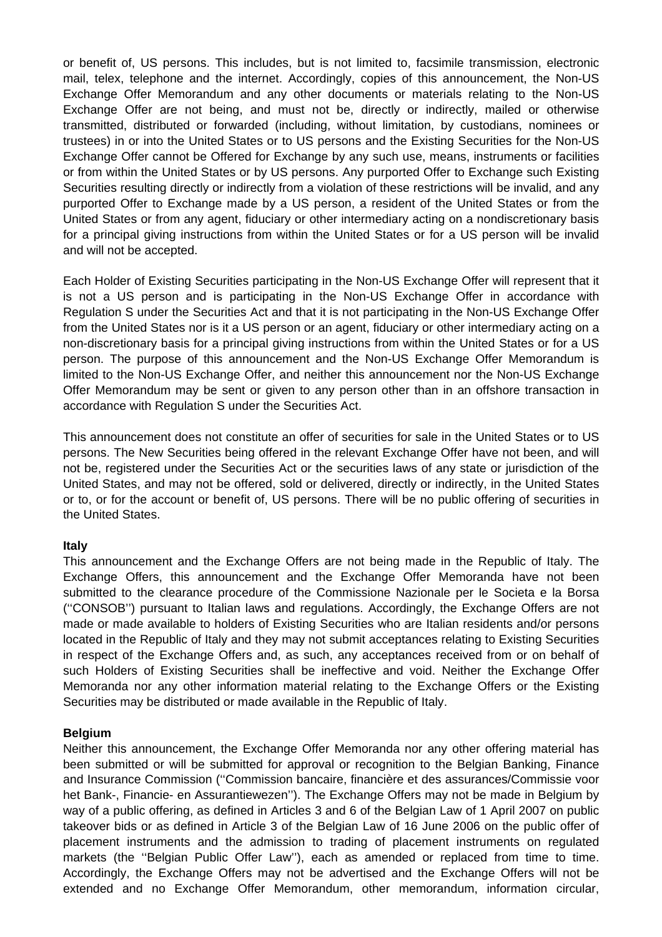or benefit of, US persons. This includes, but is not limited to, facsimile transmission, electronic mail, telex, telephone and the internet. Accordingly, copies of this announcement, the Non-US Exchange Offer Memorandum and any other documents or materials relating to the Non-US Exchange Offer are not being, and must not be, directly or indirectly, mailed or otherwise transmitted, distributed or forwarded (including, without limitation, by custodians, nominees or trustees) in or into the United States or to US persons and the Existing Securities for the Non-US Exchange Offer cannot be Offered for Exchange by any such use, means, instruments or facilities or from within the United States or by US persons. Any purported Offer to Exchange such Existing Securities resulting directly or indirectly from a violation of these restrictions will be invalid, and any purported Offer to Exchange made by a US person, a resident of the United States or from the United States or from any agent, fiduciary or other intermediary acting on a nondiscretionary basis for a principal giving instructions from within the United States or for a US person will be invalid and will not be accepted.

Each Holder of Existing Securities participating in the Non-US Exchange Offer will represent that it is not a US person and is participating in the Non-US Exchange Offer in accordance with Regulation S under the Securities Act and that it is not participating in the Non-US Exchange Offer from the United States nor is it a US person or an agent, fiduciary or other intermediary acting on a non-discretionary basis for a principal giving instructions from within the United States or for a US person. The purpose of this announcement and the Non-US Exchange Offer Memorandum is limited to the Non-US Exchange Offer, and neither this announcement nor the Non-US Exchange Offer Memorandum may be sent or given to any person other than in an offshore transaction in accordance with Regulation S under the Securities Act.

This announcement does not constitute an offer of securities for sale in the United States or to US persons. The New Securities being offered in the relevant Exchange Offer have not been, and will not be, registered under the Securities Act or the securities laws of any state or jurisdiction of the United States, and may not be offered, sold or delivered, directly or indirectly, in the United States or to, or for the account or benefit of, US persons. There will be no public offering of securities in the United States.

### **Italy**

This announcement and the Exchange Offers are not being made in the Republic of Italy. The Exchange Offers, this announcement and the Exchange Offer Memoranda have not been submitted to the clearance procedure of the Commissione Nazionale per le Societa e la Borsa (''CONSOB'') pursuant to Italian laws and regulations. Accordingly, the Exchange Offers are not made or made available to holders of Existing Securities who are Italian residents and/or persons located in the Republic of Italy and they may not submit acceptances relating to Existing Securities in respect of the Exchange Offers and, as such, any acceptances received from or on behalf of such Holders of Existing Securities shall be ineffective and void. Neither the Exchange Offer Memoranda nor any other information material relating to the Exchange Offers or the Existing Securities may be distributed or made available in the Republic of Italy.

### **Belgium**

Neither this announcement, the Exchange Offer Memoranda nor any other offering material has been submitted or will be submitted for approval or recognition to the Belgian Banking, Finance and Insurance Commission (''Commission bancaire, financière et des assurances/Commissie voor het Bank-, Financie- en Assurantiewezen''). The Exchange Offers may not be made in Belgium by way of a public offering, as defined in Articles 3 and 6 of the Belgian Law of 1 April 2007 on public takeover bids or as defined in Article 3 of the Belgian Law of 16 June 2006 on the public offer of placement instruments and the admission to trading of placement instruments on regulated markets (the ''Belgian Public Offer Law''), each as amended or replaced from time to time. Accordingly, the Exchange Offers may not be advertised and the Exchange Offers will not be extended and no Exchange Offer Memorandum, other memorandum, information circular,